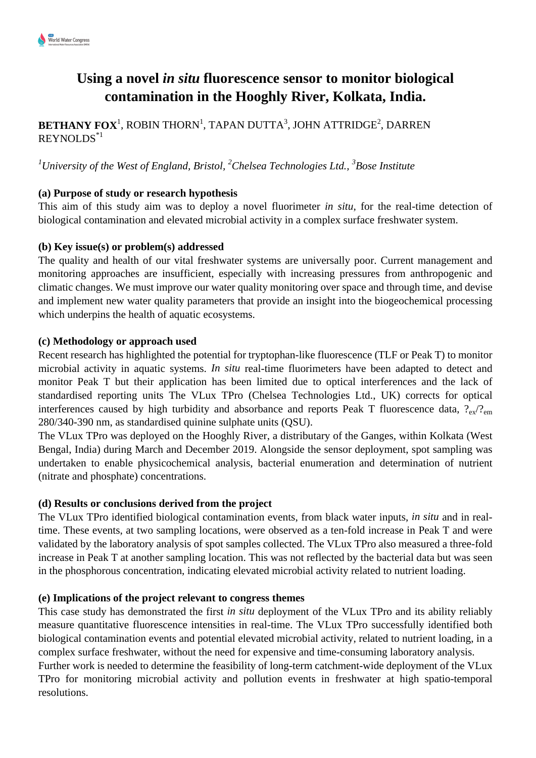

# **Using a novel** *in situ* **fluorescence sensor to monitor biological contamination in the Hooghly River, Kolkata, India.**

 $\mathbf{BETHANN}\ \mathbf{FOX}^1,$  ROBIN THORN $^1,$  TAPAN DUTTA $^3,$  JOHN ATTRIDGE $^2,$  DARREN REYNOLDS\*1

*<sup>1</sup>University of the West of England, Bristol, <sup>2</sup>Chelsea Technologies Ltd., <sup>3</sup> Bose Institute*

## **(a) Purpose of study or research hypothesis**

This aim of this study aim was to deploy a novel fluorimeter *in situ*, for the real-time detection of biological contamination and elevated microbial activity in a complex surface freshwater system.

### **(b) Key issue(s) or problem(s) addressed**

The quality and health of our vital freshwater systems are universally poor. Current management and monitoring approaches are insufficient, especially with increasing pressures from anthropogenic and climatic changes. We must improve our water quality monitoring over space and through time, and devise and implement new water quality parameters that provide an insight into the biogeochemical processing which underpins the health of aquatic ecosystems.

### **(c) Methodology or approach used**

Recent research has highlighted the potential for tryptophan-like fluorescence (TLF or Peak T) to monitor microbial activity in aquatic systems. *In situ* real-time fluorimeters have been adapted to detect and monitor Peak T but their application has been limited due to optical interferences and the lack of standardised reporting units The VLux TPro (Chelsea Technologies Ltd., UK) corrects for optical interferences caused by high turbidity and absorbance and reports Peak T fluorescence data,  $?_{\text{ev}}/?_{\text{em}}$ 280/340-390 nm, as standardised quinine sulphate units (QSU).

The VLux TPro was deployed on the Hooghly River, a distributary of the Ganges, within Kolkata (West Bengal, India) during March and December 2019. Alongside the sensor deployment, spot sampling was undertaken to enable physicochemical analysis, bacterial enumeration and determination of nutrient (nitrate and phosphate) concentrations.

### **(d) Results or conclusions derived from the project**

The VLux TPro identified biological contamination events, from black water inputs, *in situ* and in realtime. These events, at two sampling locations, were observed as a ten-fold increase in Peak T and were validated by the laboratory analysis of spot samples collected. The VLux TPro also measured a three-fold increase in Peak T at another sampling location. This was not reflected by the bacterial data but was seen in the phosphorous concentration, indicating elevated microbial activity related to nutrient loading.

### **(e) Implications of the project relevant to congress themes**

This case study has demonstrated the first *in situ* deployment of the VLux TPro and its ability reliably measure quantitative fluorescence intensities in real-time. The VLux TPro successfully identified both biological contamination events and potential elevated microbial activity, related to nutrient loading, in a complex surface freshwater, without the need for expensive and time-consuming laboratory analysis.

Further work is needed to determine the feasibility of long-term catchment-wide deployment of the VLux TPro for monitoring microbial activity and pollution events in freshwater at high spatio-temporal resolutions.